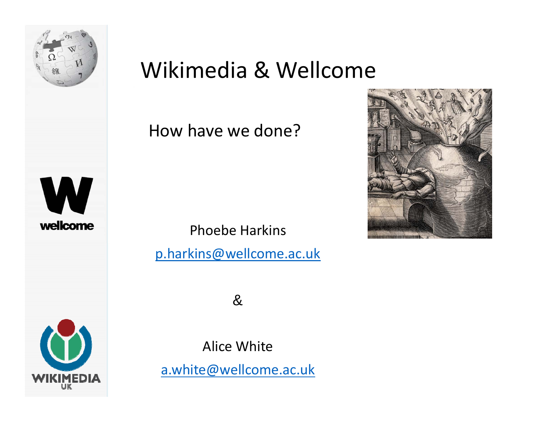

#### Wikimedia & Wellcome

#### How have we done?

Phoebe Harkins

p.harkins@wellcome.ac.uk

&

Alice White a.white@wellcome.ac.uk

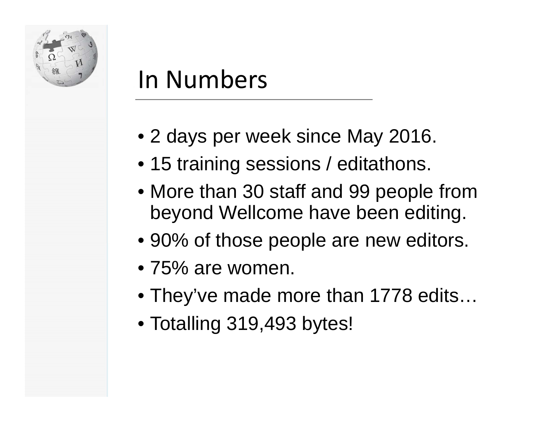

#### In Numbers

- United Kingdom • 2 days per week since May 2016.
- 15 training sessions / editathons.
- category: • More than 30 staff and 99 people from beyond Wellcome have been editing.
- For a comparison:  $\bullet$  90% of those people are new editors.
- 75% are women.
- They've made more than 1778 edits…
- Totalling 319,493 bytes!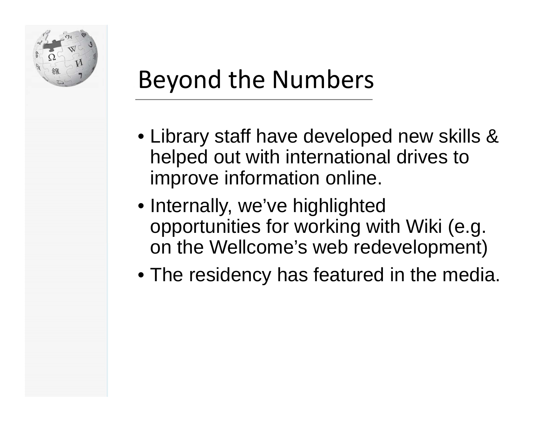

# Beyond the Numbers

- United Kingdom  $\overline{1}$  drives to helped out with international drives to • Library staff have developed new skills & improve information online.
- psychiatry opportunities for working with Wiki (e.g.  $\theta$ on the Wellcome's web redevelopment) • Internally, we've highlighted
- The residency has featured in the media.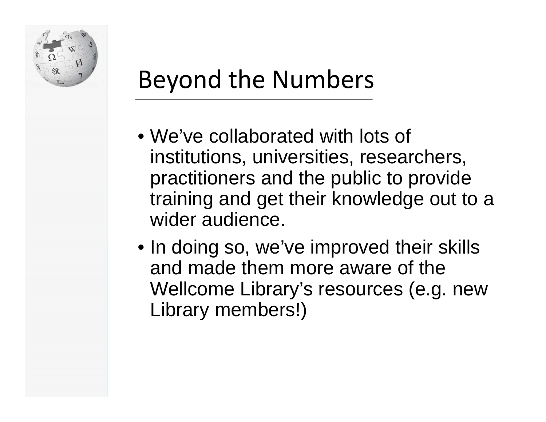

# Beyond the Numbers

- United Kingdom noccopion institutions, universities, researchers, practitioners and the public to provide training and get their knowledge out to a • We've collaborated with lots of wider audience.
- $\mathsf{a}$  there  $\mathsf{a}$  are  $\mathsf{a}$ on Top G • In doing so, we've improved their skills and made them more aware of the Wellcome Library's resources (e.g. new Library members!)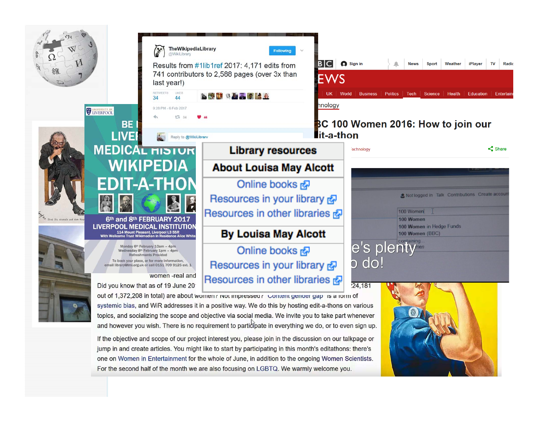

For the second half of the month we are also focusing on LGBTQ. We warmly welcome you.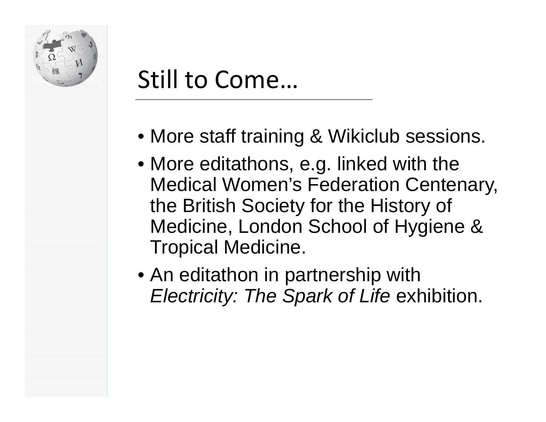

### Still to Come…

- United Kingdom • More staff training & Wikiclub sessions.
- $\bullet$  More editathons, e.g. linked with the Medical Women's Federation Centenary,  $\mathsf{F}$ Medicine, London School of Hygiene & there are 71 articles the British Society for the History of Tropical Medicine.
- An editathon in partnership with *Electricity: The Spark of Life exhibition.*